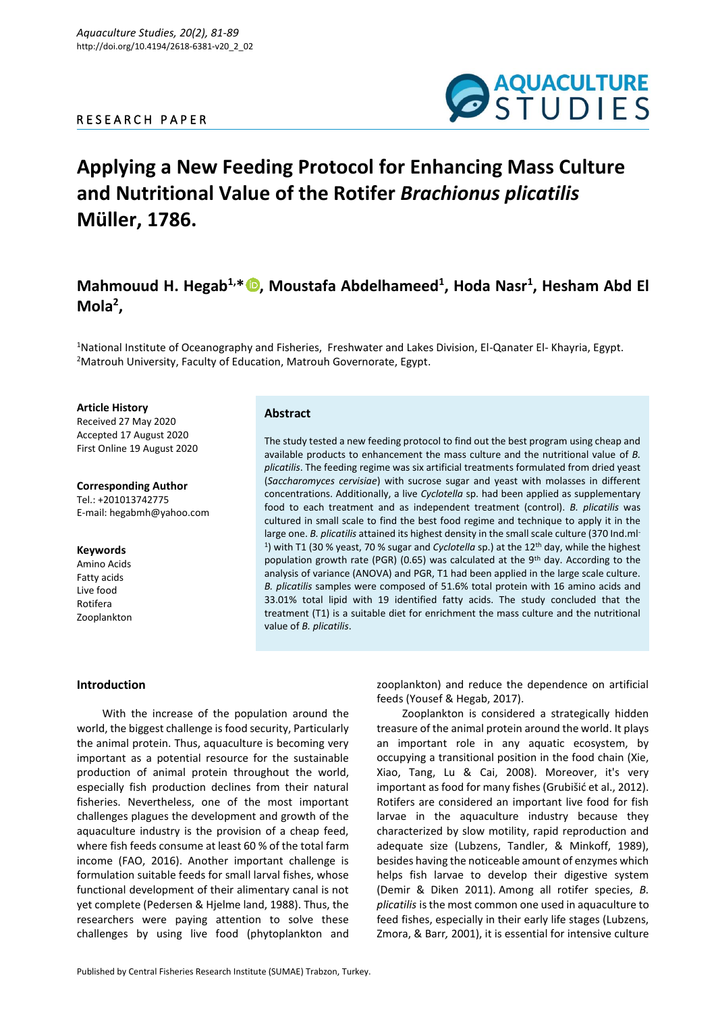## R E S E A R C H P A P E R



# **Applying a New Feeding Protocol for Enhancing Mass Culture and Nutritional Value of the Rotifer** *Brachionus plicatilis* **Müller, 1786.**

## **Mahmouud H. Hegab1,\* [,](https://orcid.org/0000-0003-1999-3770) Moustafa Abdelhameed<sup>1</sup> , Hoda Nasr<sup>1</sup> , Hesham Abd El Mola<sup>2</sup> ,**

<sup>1</sup>National Institute of Oceanography and Fisheries, Freshwater and Lakes Division, El-Qanater El- Khayria, Egypt. <sup>2</sup>Matrouh University, Faculty of Education, Matrouh Governorate, Egypt.

**Article History** Received 27 May 2020 Accepted 17 August 2020 First Online 19 August 2020

**Corresponding Author** Tel.: +201013742775 E-mail: hegabmh@yahoo.com

## **Keywords**

Amino Acids Fatty acids Live food Rotifera Zooplankton

## **Abstract**

The study tested a new feeding protocol to find out the best program using cheap and available products to enhancement the mass culture and the nutritional value of *B. plicatilis*. The feeding regime was six artificial treatments formulated from dried yeast (*Saccharomyces cervisiae*) with sucrose sugar and yeast with molasses in different concentrations. Additionally, a live *Cyclotella* sp. had been applied as supplementary food to each treatment and as independent treatment (control). *B. plicatilis* was cultured in small scale to find the best food regime and technique to apply it in the large one. *B. plicatilis* attained its highest density in the small scale culture (370 Ind.ml-<sup>1</sup>) with T1 (30 % yeast, 70 % sugar and *Cyclotella* sp.) at the 12<sup>th</sup> day, while the highest population growth rate (PGR) (0.65) was calculated at the 9<sup>th</sup> day. According to the analysis of variance (ANOVA) and PGR, T1 had been applied in the large scale culture. *B. plicatilis* samples were composed of 51.6% total protein with 16 amino acids and 33.01% total lipid with 19 identified fatty acids. The study concluded that the treatment (T1) is a suitable diet for enrichment the mass culture and the nutritional value of *B. plicatilis*.

## **Introduction**

With the increase of the population around the world, the biggest challenge is food security, Particularly the animal protein. Thus, aquaculture is becoming very important as a potential resource for the sustainable production of animal protein throughout the world, especially fish production declines from their natural fisheries. Nevertheless, one of the most important challenges plagues the development and growth of the aquaculture industry is the provision of a cheap feed, where fish feeds consume at least 60 % of the total farm income (FAO, 2016). Another important challenge is formulation suitable feeds for small larval fishes, whose functional development of their alimentary canal is not yet complete (Pedersen & Hjelme land, 1988). Thus, the researchers were paying attention to solve these challenges by using live food (phytoplankton and

zooplankton) and reduce the dependence on artificial feeds (Yousef & Hegab, 2017).

Zooplankton is considered a strategically hidden treasure of the animal protein around the world. It plays an important role in any aquatic ecosystem, by occupying a transitional position in the food chain (Xie, Xiao, Tang, Lu & Cai, 2008). Moreover, it's very important as food for many fishes (Grubišić et al., 2012). Rotifers are considered an important live food for fish larvae in the aquaculture industry because they characterized by slow motility, rapid reproduction and adequate size (Lubzens, Tandler, & Minkoff, 1989), besides having the noticeable amount of enzymes which helps fish larvae to develop their digestive system (Demir & Diken 2011). Among all rotifer species, *B. plicatilis* is the most common one used in aquaculture to feed fishes, especially in their early life stages (Lubzens, Zmora, & Barr*,* 2001), it is essential for intensive culture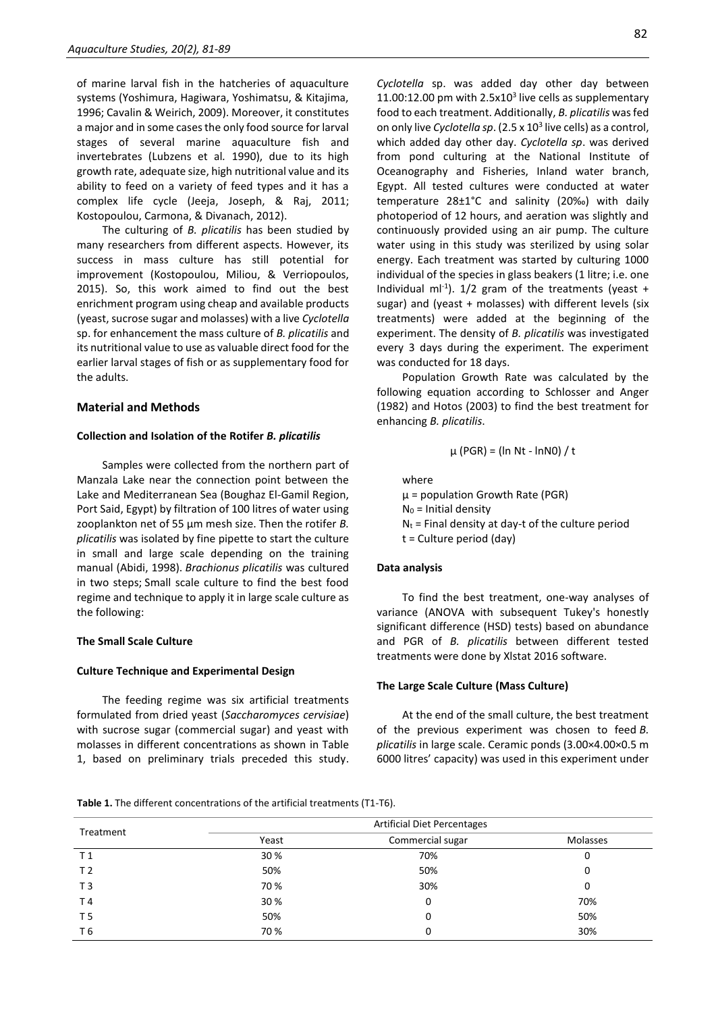of marine larval fish in the hatcheries of aquaculture systems (Yoshimura, Hagiwara, Yoshimatsu, & Kitajima, 1996; Cavalin & Weirich, 2009). Moreover, it constitutes a major and in some cases the only food source for larval stages of several marine aquaculture fish and invertebrates (Lubzens et al*.* 1990), due to its high growth rate, adequate size, high nutritional value and its ability to feed on a variety of feed types and it has a complex life cycle (Jeeja, Joseph, & Raj, 2011; Kostopoulou, Carmona, & Divanach, 2012).

The culturing of *B. plicatilis* has been studied by many researchers from different aspects. However, its success in mass culture has still potential for improvement (Kostopoulou, Miliou, & Verriopoulos, 2015). So, this work aimed to find out the best enrichment program using cheap and available products (yeast, sucrose sugar and molasses) with a live *Cyclotella* sp. for enhancement the mass culture of *B. plicatilis* and its nutritional value to use as valuable direct food for the earlier larval stages of fish or as supplementary food for the adults.

#### **Material and Methods**

#### **Collection and Isolation of the Rotifer** *B. plicatilis*

Samples were collected from the northern part of Manzala Lake near the connection point between the Lake and Mediterranean Sea (Boughaz El-Gamil Region, Port Said, Egypt) by filtration of 100 litres of water using zooplankton net of 55 µm mesh size. Then the rotifer *B. plicatilis* was isolated by fine pipette to start the culture in small and large scale depending on the training manual (Abidi, 1998). *Brachionus plicatilis* was cultured in two steps; Small scale culture to find the best food regime and technique to apply it in large scale culture as the following:

## **The Small Scale Culture**

#### **Culture Technique and Experimental Design**

The feeding regime was six artificial treatments formulated from dried yeast (*Saccharomyces cervisiae*) with sucrose sugar (commercial sugar) and yeast with molasses in different concentrations as shown in Table 1, based on preliminary trials preceded this study.

*Cyclotella* sp. was added day other day between 11.00:12.00 pm with  $2.5x10<sup>3</sup>$  live cells as supplementary food to each treatment. Additionally, *B. plicatilis* was fed on only live *Cyclotella sp*. (2.5 x 10<sup>3</sup> live cells) as a control, which added day other day. *Cyclotella sp*. was derived from pond culturing at the National Institute of Oceanography and Fisheries, Inland water branch, Egypt. All tested cultures were conducted at water temperature 28±1°C and salinity (20‰) with daily photoperiod of 12 hours, and aeration was slightly and continuously provided using an air pump. The culture water using in this study was sterilized by using solar energy. Each treatment was started by culturing 1000 individual of the species in glass beakers (1 litre; i.e. one Individual ml<sup>-1</sup>).  $1/2$  gram of the treatments (yeast + sugar) and (yeast + molasses) with different levels (six treatments) were added at the beginning of the experiment. The density of *B. plicatilis* was investigated every 3 days during the experiment. The experiment was conducted for 18 days.

Population Growth Rate was calculated by the following equation according to Schlosser and Anger (1982) and Hotos (2003) to find the best treatment for enhancing *B. plicatilis*.

$$
\mu
$$
 (PGR) = (ln Nt - lnN0) / t

where µ = population Growth Rate (PGR)  $N_0$  = Initial density  $N_t$  = Final density at day-t of the culture period t = Culture period (day)

#### **Data analysis**

To find the best treatment, one-way analyses of variance (ANOVA with subsequent Tukey's honestly significant difference (HSD) tests) based on abundance and PGR of *B. plicatilis* between different tested treatments were done by Xlstat 2016 software.

#### **The Large Scale Culture (Mass Culture)**

At the end of the small culture, the best treatment of the previous experiment was chosen to feed *B. plicatilis* in large scale. Ceramic ponds (3.00×4.00×0.5 m 6000 litres' capacity) was used in this experiment under

#### **Table 1.** The different concentrations of the artificial treatments (T1-T6).

| Treatment      | <b>Artificial Diet Percentages</b> |                  |          |  |
|----------------|------------------------------------|------------------|----------|--|
|                | Yeast                              | Commercial sugar | Molasses |  |
| T <sub>1</sub> | 30%                                | 70%              | υ        |  |
| T <sub>2</sub> | 50%                                | 50%              | 0        |  |
| T <sub>3</sub> | 70%                                | 30%              | 0        |  |
| T 4            | 30%                                | 0                | 70%      |  |
| T <sub>5</sub> | 50%                                | 0                | 50%      |  |
| T 6            | 70%                                | 0                | 30%      |  |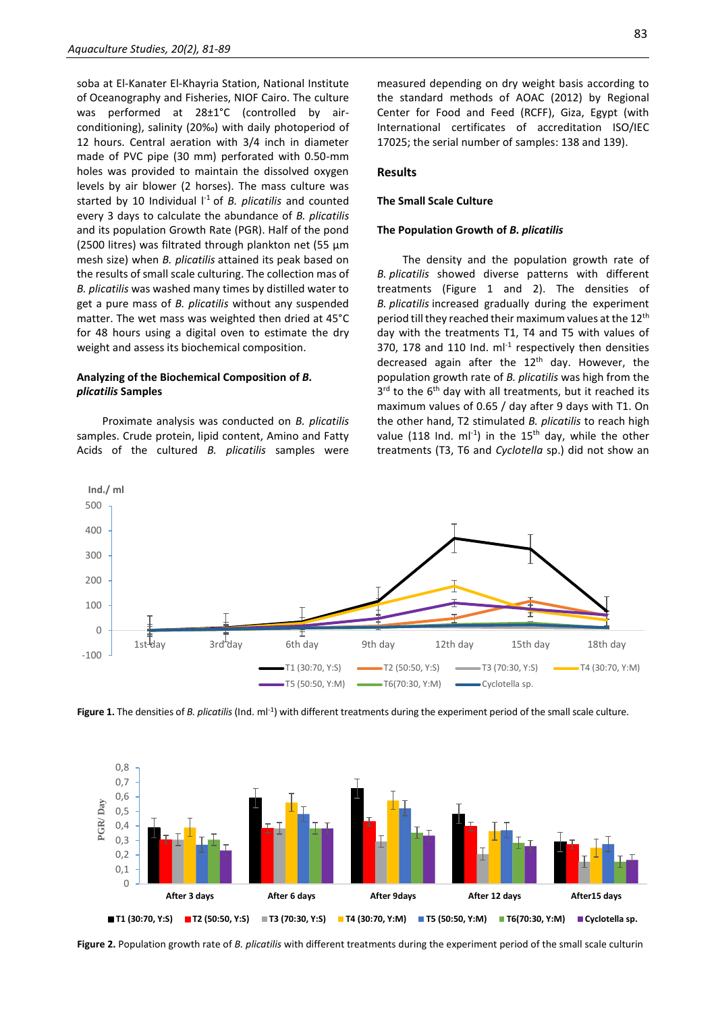soba at El-Kanater El-Khayria Station, National Institute of Oceanography and Fisheries, NIOF Cairo. The culture was performed at 28±1°C (controlled by airconditioning), salinity (20‰) with daily photoperiod of 12 hours. Central aeration with 3/4 inch in diameter made of PVC pipe (30 mm) perforated with 0.50-mm holes was provided to maintain the dissolved oxygen levels by air blower (2 horses). The mass culture was started by 10 Individual  $I<sup>-1</sup>$  of *B. plicatilis* and counted every 3 days to calculate the abundance of *B. plicatilis* and its population Growth Rate (PGR). Half of the pond (2500 litres) was filtrated through plankton net (55 µm mesh size) when *B. plicatilis* attained its peak based on the results of small scale culturing. The collection mas of *B. plicatilis* was washed many times by distilled water to get a pure mass of *B. plicatilis* without any suspended matter. The wet mass was weighted then dried at 45°C for 48 hours using a digital oven to estimate the dry weight and assess its biochemical composition.

## **Analyzing of the Biochemical Composition of** *B. plicatilis* **Samples**

Proximate analysis was conducted on *B. plicatilis* samples. Crude protein, lipid content, Amino and Fatty Acids of the cultured *B. plicatilis* samples were

#### **Results**

#### **The Small Scale Culture**

#### **The Population Growth of** *B. plicatilis*

The density and the population growth rate of *B. plicatilis* showed diverse patterns with different treatments (Figure 1 and 2). The densities of *B. plicatilis* increased gradually during the experiment period till they reached their maximum values at the 12<sup>th</sup> day with the treatments T1, T4 and T5 with values of 370, 178 and 110 Ind.  $ml^{-1}$  respectively then densities decreased again after the  $12<sup>th</sup>$  day. However, the population growth rate of *B. plicatilis* was high from the 3<sup>rd</sup> to the 6<sup>th</sup> day with all treatments, but it reached its maximum values of 0.65 / day after 9 days with T1. On the other hand, T2 stimulated *B. plicatilis* to reach high value (118 Ind.  $ml^{-1}$ ) in the 15<sup>th</sup> day, while the other treatments (T3, T6 and *Cyclotella* sp.) did not show an







**Figure 2.** Population growth rate of *B. plicatilis* with different treatments during the experiment period of the small scale culturin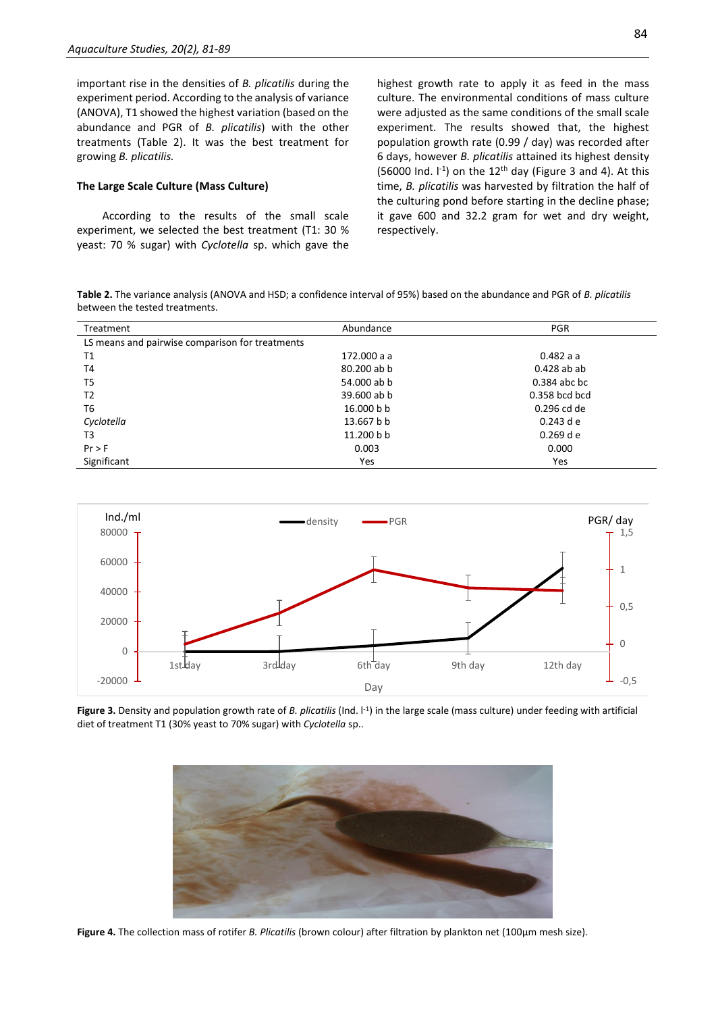important rise in the densities of *B. plicatilis* during the experiment period. According to the analysis of variance (ANOVA), T1 showed the highest variation (based on the abundance and PGR of *B. plicatilis*) with the other treatments (Table 2). It was the best treatment for growing *B. plicatilis.*

## **The Large Scale Culture (Mass Culture)**

According to the results of the small scale experiment, we selected the best treatment (T1: 30 % yeast: 70 % sugar) with *Cyclotella* sp. which gave the

highest growth rate to apply it as feed in the mass culture. The environmental conditions of mass culture were adjusted as the same conditions of the small scale experiment. The results showed that, the highest population growth rate (0.99 / day) was recorded after 6 days, however *B. plicatilis* attained its highest density (56000 Ind.  $I^{-1}$ ) on the 12<sup>th</sup> day (Figure 3 and 4). At this time, *B. plicatilis* was harvested by filtration the half of the culturing pond before starting in the decline phase; it gave 600 and 32.2 gram for wet and dry weight, respectively.

**Table 2.** The variance analysis (ANOVA and HSD; a confidence interval of 95%) based on the abundance and PGR of *B. plicatilis* between the tested treatments.

| Treatment                                       | Abundance   | <b>PGR</b>      |
|-------------------------------------------------|-------------|-----------------|
| LS means and pairwise comparison for treatments |             |                 |
| T1                                              | 172.000 a a | 0.482 a a       |
| T4                                              | 80.200 ab b | $0.428$ ab ab   |
| T <sub>5</sub>                                  | 54.000 ab b | $0.384$ abc bc  |
| T <sub>2</sub>                                  | 39.600 ab b | $0.358$ bcd bcd |
| T <sub>6</sub>                                  | 16,000 b b  | 0.296 cd de     |
| Cyclotella                                      | 13.667 b b  | $0.243$ d e     |
| T3                                              | 11.200 b b  | $0.269$ d e     |
| Pr > F                                          | 0.003       | 0.000           |
| Significant                                     | Yes         | Yes             |



Figure 3. Density and population growth rate of *B. plicatilis* (Ind. <sup>[-1</sup>] in the large scale (mass culture) under feeding with artificial diet of treatment T1 (30% yeast to 70% sugar) with *Cyclotella* sp..



**Figure 4.** The collection mass of rotifer *B. Plicatilis* (brown colour) after filtration by plankton net (100µm mesh size).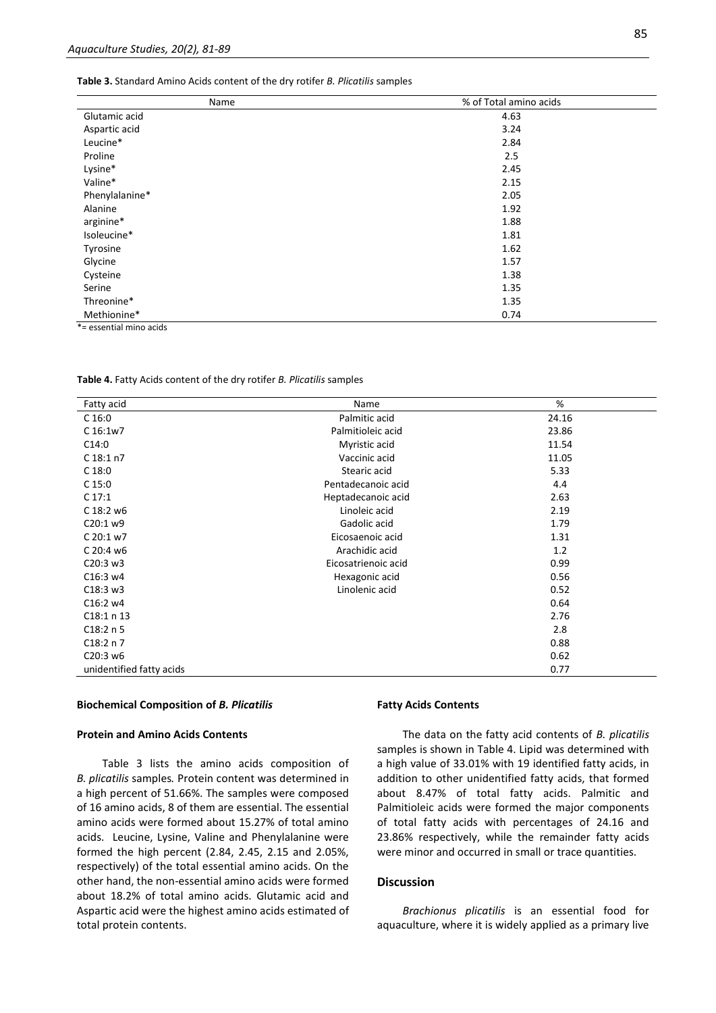**Table 3.** Standard Amino Acids content of the dry rotifer *B. Plicatilis* samples

| Name           | % of Total amino acids |
|----------------|------------------------|
| Glutamic acid  | 4.63                   |
| Aspartic acid  | 3.24                   |
| Leucine*       | 2.84                   |
| Proline        | 2.5                    |
| Lysine*        | 2.45                   |
| Valine*        | 2.15                   |
| Phenylalanine* | 2.05                   |
| Alanine        | 1.92                   |
| arginine*      | 1.88                   |
| Isoleucine*    | 1.81                   |
| Tyrosine       | 1.62                   |
| Glycine        | 1.57                   |
| Cysteine       | 1.38                   |
| Serine         | 1.35                   |
| Threonine*     | 1.35                   |
| Methionine*    | 0.74                   |

\*= essential mino acids

**Table 4.** Fatty Acids content of the dry rotifer *B. Plicatilis* samples

| Fatty acid               | Name                | %     |
|--------------------------|---------------------|-------|
| C <sub>16:0</sub>        | Palmitic acid       | 24.16 |
| C 16:1w7                 | Palmitioleic acid   | 23.86 |
| C14:0                    | Myristic acid       | 11.54 |
| $C$ 18:1 n7              | Vaccinic acid       | 11.05 |
| C <sub>18:0</sub>        | Stearic acid        | 5.33  |
| C <sub>15:0</sub>        | Pentadecanoic acid  | 4.4   |
| C 17:1                   | Heptadecanoic acid  | 2.63  |
| C 18:2 w6                | Linoleic acid       | 2.19  |
| C20:1 w9                 | Gadolic acid        | 1.79  |
| C 20:1 w7                | Eicosaenoic acid    | 1.31  |
| C 20:4 w6                | Arachidic acid      | 1.2   |
| C20:3 w3                 | Eicosatrienoic acid | 0.99  |
| C16:3 w4                 | Hexagonic acid      | 0.56  |
| C18:3 w3                 | Linolenic acid      | 0.52  |
| C16:2 w4                 |                     | 0.64  |
|                          |                     |       |
| C18:1 n 13               |                     | 2.76  |
| C18:2 n 5                |                     | 2.8   |
| C18:2 n 7                |                     | 0.88  |
| C20:3 w6                 |                     | 0.62  |
| unidentified fatty acids |                     | 0.77  |

#### **Biochemical Composition of** *B. Plicatilis*

## **Protein and Amino Acids Contents**

Table 3 lists the amino acids composition of *B. plicatilis* samples*.* Protein content was determined in a high percent of 51.66%. The samples were composed of 16 amino acids, 8 of them are essential. The essential amino acids were formed about 15.27% of total amino acids. Leucine, Lysine, Valine and Phenylalanine were formed the high percent (2.84, 2.45, 2.15 and 2.05%, respectively) of the total essential amino acids. On the other hand, the non-essential amino acids were formed about 18.2% of total amino acids. Glutamic acid and Aspartic acid were the highest amino acids estimated of total protein contents.

#### **Fatty Acids Contents**

The data on the fatty acid contents of *B. plicatilis* samples is shown in Table 4. Lipid was determined with a high value of 33.01% with 19 identified fatty acids, in addition to other unidentified fatty acids, that formed about 8.47% of total fatty acids. Palmitic and Palmitioleic acids were formed the major components of total fatty acids with percentages of 24.16 and 23.86% respectively, while the remainder fatty acids were minor and occurred in small or trace quantities.

## **Discussion**

*Brachionus plicatilis* is an essential food for aquaculture, where it is widely applied as a primary live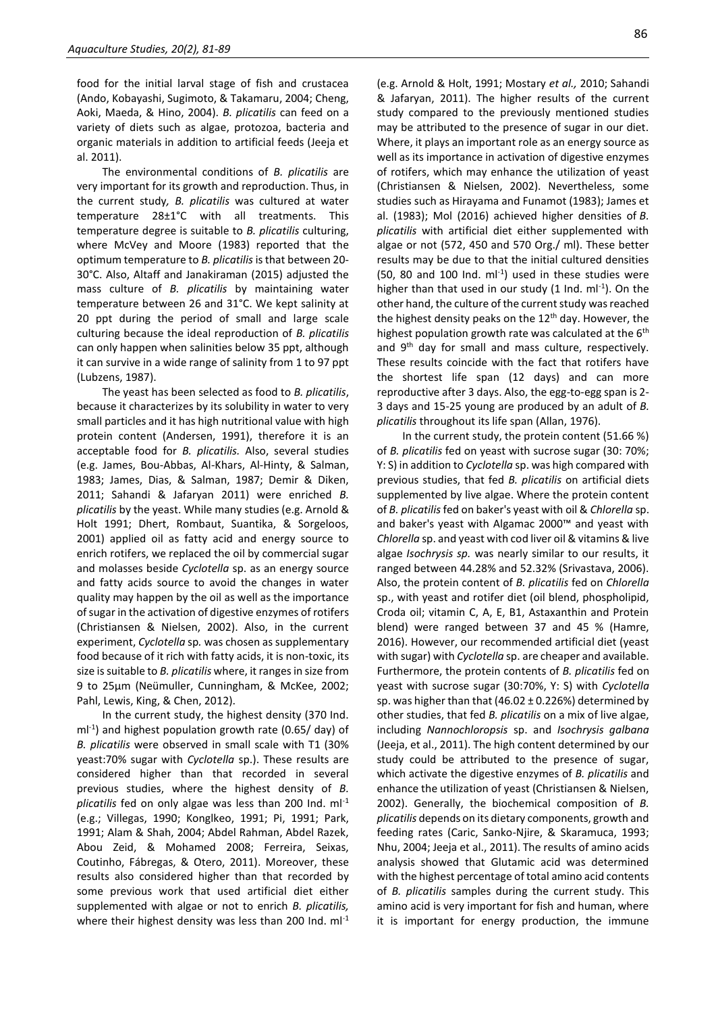food for the initial larval stage of fish and crustacea (Ando, Kobayashi, Sugimoto, & Takamaru, 2004; Cheng, Aoki, Maeda, & Hino, 2004). *B. plicatilis* can feed on a variety of diets such as algae, protozoa, bacteria and organic materials in addition to artificial feeds (Jeeja et al. 2011).

The environmental conditions of *B. plicatilis* are very important for its growth and reproduction. Thus, in the current study*, B. plicatilis* was cultured at water temperature 28±1°C with all treatments. This temperature degree is suitable to *B. plicatilis* culturing, where McVey and Moore (1983) reported that the optimum temperature to *B. plicatilis* is that between 20- 30°C. Also, Altaff and Janakiraman (2015) adjusted the mass culture of *B. plicatilis* by maintaining water temperature between 26 and 31°C. We kept salinity at 20 ppt during the period of small and large scale culturing because the ideal reproduction of *B. plicatilis* can only happen when salinities below 35 ppt, although it can survive in a wide range of salinity from 1 to 97 ppt (Lubzens, 1987).

The yeast has been selected as food to *B. plicatilis*, because it characterizes by its solubility in water to very small particles and it has high nutritional value with high protein content (Andersen, 1991), therefore it is an acceptable food for *B. plicatilis.* Also, several studies (e.g. James, Bou-Abbas, Al-Khars, Al-Hinty, & Salman, 1983; James, Dias, & Salman, 1987; Demir & Diken, 2011; Sahandi & Jafaryan 2011) were enriched *B. plicatilis* by the yeast. While many studies (e.g. Arnold & Holt 1991; Dhert, Rombaut, Suantika, & Sorgeloos, 2001) applied oil as fatty acid and energy source to enrich rotifers, we replaced the oil by commercial sugar and molasses beside *Cyclotella* sp. as an energy source and fatty acids source to avoid the changes in water quality may happen by the oil as well as the importance of sugar in the activation of digestive enzymes of rotifers (Christiansen & Nielsen, 2002). Also, in the current experiment, *Cyclotella* sp*.* was chosen as supplementary food because of it rich with fatty acids, it is non-toxic, its size is suitable to *B. plicatilis* where, it ranges in size from 9 to 25µm (Neümuller, Cunningham, & McKee, 2002; Pahl, Lewis, King, & Chen, 2012).

In the current study, the highest density (370 Ind. ml<sup>-1</sup>) and highest population growth rate (0.65/ day) of *B. plicatilis* were observed in small scale with T1 (30% yeast:70% sugar with *Cyclotella* sp.). These results are considered higher than that recorded in several previous studies, where the highest density of *B. plicatilis* fed on only algae was less than 200 Ind. ml-1 (e.g.; Villegas, 1990; Konglkeo, 1991; Pi, 1991; Park, 1991; Alam & Shah, 2004; Abdel Rahman, Abdel Razek, Abou Zeid, & Mohamed 2008; Ferreira, Seixas, Coutinho, Fábregas, & Otero, 2011). Moreover, these results also considered higher than that recorded by some previous work that used artificial diet either supplemented with algae or not to enrich *B. plicatilis,* where their highest density was less than 200 Ind. ml<sup>-1</sup> (e.g. Arnold & Holt, 1991; Mostary *et al.,* 2010; Sahandi & Jafaryan, 2011). The higher results of the current study compared to the previously mentioned studies may be attributed to the presence of sugar in our diet. Where, it plays an important role as an energy source as well as its importance in activation of digestive enzymes of rotifers, which may enhance the utilization of yeast (Christiansen & Nielsen, 2002). Nevertheless, some studies such as Hirayama and Funamot (1983); James et al. (1983); Mol (2016) achieved higher densities of *B. plicatilis* with artificial diet either supplemented with algae or not (572, 450 and 570 Org./ ml). These better results may be due to that the initial cultured densities  $(50, 80$  and  $100$  Ind.  $ml^{-1}$ ) used in these studies were higher than that used in our study  $(1 \text{ Ind.} \text{ ml}^{-1})$ . On the other hand, the culture of the current study was reached the highest density peaks on the 12<sup>th</sup> day. However, the highest population growth rate was calculated at the  $6<sup>th</sup>$ and 9<sup>th</sup> day for small and mass culture, respectively. These results coincide with the fact that rotifers have the shortest life span (12 days) and can more reproductive after 3 days. Also, the egg-to-egg span is 2- 3 days and 15-25 young are produced by an adult of *B. plicatilis* throughout its life span (Allan, 1976).

In the current study, the protein content (51.66 %) of *B. plicatilis* fed on yeast with sucrose sugar (30: 70%; Y: S) in addition to *Cyclotella* sp. was high compared with previous studies, that fed *B. plicatilis* on artificial diets supplemented by live algae. Where the protein content of *B. plicatilis*fed on baker's yeast with oil & *Chlorella* sp. and baker's yeast with Algamac 2000™ and yeast with *Chlorella* sp. and yeast with cod liver oil & vitamins & live algae *Isochrysis sp.* was nearly similar to our results, it ranged between 44.28% and 52.32% (Srivastava, 2006). Also, the protein content of *B. plicatilis* fed on *Chlorella* sp., with yeast and rotifer diet (oil blend, phospholipid, Croda oil; vitamin C, A, E, B1, Astaxanthin and Protein blend) were ranged between 37 and 45 % (Hamre, 2016). However, our recommended artificial diet (yeast with sugar) with *Cyclotella* sp. are cheaper and available. Furthermore, the protein contents of *B. plicatilis* fed on yeast with sucrose sugar (30:70%, Y: S) with *Cyclotella*  sp. was higher than that (46.02  $\pm$  0.226%) determined by other studies, that fed *B. plicatilis* on a mix of live algae, including *Nannochloropsis* sp. and *Isochrysis galbana* (Jeeja, et al., 2011). The high content determined by our study could be attributed to the presence of sugar, which activate the digestive enzymes of *B. plicatilis* and enhance the utilization of yeast (Christiansen & Nielsen, 2002). Generally, the biochemical composition of *B. plicatilis* depends on its dietary components, growth and feeding rates (Caric, Sanko-Njire, & Skaramuca, 1993; Nhu, 2004; Jeeja et al., 2011). The results of amino acids analysis showed that Glutamic acid was determined with the highest percentage of total amino acid contents of *B. plicatilis* samples during the current study. This amino acid is very important for fish and human, where it is important for energy production, the immune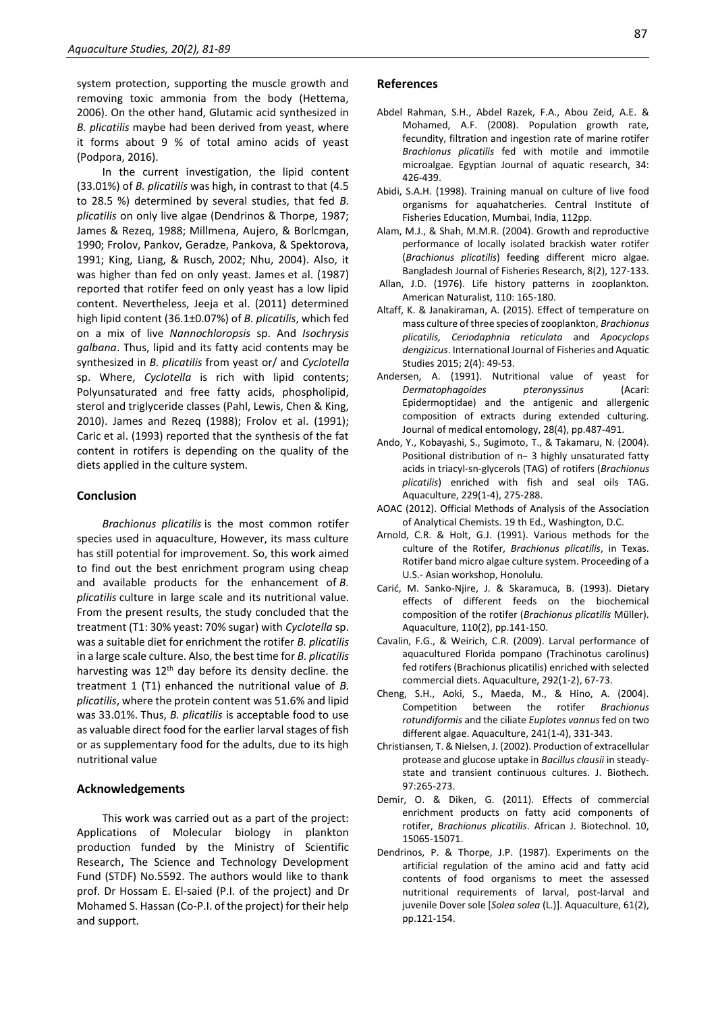system protection, supporting the muscle growth and removing toxic ammonia from the body (Hettema, 2006). On the other hand, Glutamic acid synthesized in *B. plicatilis* maybe had been derived from yeast, where it forms about 9 % of total amino acids of yeast (Podpora, 2016).

In the current investigation, the lipid content (33.01%) of *B. plicatilis* was high, in contrast to that (4.5 to 28.5 %) determined by several studies, that fed *B. plicatilis* on only live algae (Dendrinos & Thorpe, 1987; James & Rezeq, 1988; Millmena, Aujero, & Borlcmgan, 1990; Frolov, Pankov, Geradze, Pankova, & Spektorova, 1991; King, Liang, & Rusch*,* 2002; Nhu, 2004). Also, it was higher than fed on only yeast. James et al. (1987) reported that rotifer feed on only yeast has a low lipid content. Nevertheless, Jeeja et al. (2011) determined high lipid content (36.1±0.07%) of *B. plicatilis*, which fed on a mix of live *Nannochloropsis* sp. And *Isochrysis galbana*. Thus, lipid and its fatty acid contents may be synthesized in *B. plicatilis* from yeast or/ and *Cyclotella* sp. Where, *Cyclotella* is rich with lipid contents; Polyunsaturated and free fatty acids, phospholipid, sterol and triglyceride classes (Pahl, Lewis, Chen & King, 2010). James and Rezeq (1988); Frolov et al. (1991); Caric et al. (1993) reported that the synthesis of the fat content in rotifers is depending on the quality of the diets applied in the culture system.

## **Conclusion**

*Brachionus plicatilis* is the most common rotifer species used in aquaculture, However, its mass culture has still potential for improvement. So, this work aimed to find out the best enrichment program using cheap and available products for the enhancement of *B. plicatilis* culture in large scale and its nutritional value. From the present results, the study concluded that the treatment (T1: 30% yeast: 70% sugar) with *Cyclotella* sp. was a suitable diet for enrichment the rotifer *B. plicatilis* in a large scale culture. Also, the best time for *B. plicatilis* harvesting was  $12<sup>th</sup>$  day before its density decline. the treatment 1 (T1) enhanced the nutritional value of *B. plicatilis*, where the protein content was 51.6% and lipid was 33.01%. Thus, *B. plicatilis* is acceptable food to use as valuable direct food for the earlier larval stages of fish or as supplementary food for the adults, due to its high nutritional value

## **Acknowledgements**

This work was carried out as a part of the project: Applications of Molecular biology in plankton production funded by the Ministry of Scientific Research, The Science and Technology Development Fund (STDF) No.5592. The authors would like to thank prof. Dr Hossam E. El-saied (P.I. of the project) and Dr Mohamed S. Hassan (Co-P.I. of the project) for their help and support.

## **References**

- Abdel Rahman, S.H., Abdel Razek, F.A., Abou Zeid, A.E. & Mohamed, A.F. (2008). Population growth rate, fecundity, filtration and ingestion rate of marine rotifer *Brachionus plicatilis* fed with motile and immotile microalgae. Egyptian Journal of aquatic research, 34: 426-439.
- Abidi, S.A.H. (1998). Training manual on culture of live food organisms for aquahatcheries. Central Institute of Fisheries Education, Mumbai, India, 112pp.
- Alam, M.J., & Shah, M.M.R. (2004). Growth and reproductive performance of locally isolated brackish water rotifer (*Brachionus plicatilis*) feeding different micro algae. Bangladesh Journal of Fisheries Research, 8(2), 127-133.
- Allan, J.D. (1976). Life history patterns in zooplankton. American Naturalist, 110: 165-180.
- Altaff, K. & Janakiraman, A. (2015). Effect of temperature on mass culture of three species of zooplankton, *Brachionus plicatilis, Ceriodaphnia reticulata* and *Apocyclops dengizicus*. International Journal of Fisheries and Aquatic Studies 2015; 2(4): 49-53.
- Andersen, A. (1991). Nutritional value of yeast for *Dermatophagoides pteronyssinus* (Acari: Epidermoptidae) and the antigenic and allergenic composition of extracts during extended culturing. Journal of medical entomology, 28(4), pp.487-491.
- Ando, Y., Kobayashi, S., Sugimoto, T., & Takamaru, N. (2004). Positional distribution of n− 3 highly unsaturated fatty acids in triacyl-sn-glycerols (TAG) of rotifers (*Brachionus plicatilis*) enriched with fish and seal oils TAG. Aquaculture, 229(1-4), 275-288.
- AOAC (2012). Official Methods of Analysis of the Association of Analytical Chemists. 19 th Ed., Washington, D.C.
- Arnold, C.R. & Holt, G.J. (1991). Various methods for the culture of the Rotifer, *Brachionus plicatilis*, in Texas. Rotifer band micro algae culture system. Proceeding of a U.S.- Asian workshop, Honolulu.
- Carić, M. Sanko-Njire, J. & Skaramuca, B. (1993). Dietary effects of different feeds on the biochemical composition of the rotifer (*Brachionus plicatilis* Müller). Aquaculture, 110(2), pp.141-150.
- Cavalin, F.G., & Weirich, C.R. (2009). Larval performance of aquacultured Florida pompano (Trachinotus carolinus) fed rotifers (Brachionus plicatilis) enriched with selected commercial diets. Aquaculture, 292(1-2), 67-73.
- Cheng, S.H., Aoki, S., Maeda, M., & Hino, A. (2004). Competition between the rotifer *Brachionus rotundiformis* and the ciliate *Euplotes vannus* fed on two different algae. Aquaculture, 241(1-4), 331-343.
- Christiansen, T. & Nielsen, J. (2002). Production of extracellular protease and glucose uptake in *Bacillus clausii* in steadystate and transient continuous cultures. J. Biothech. 97:265-273.
- Demir, O. & Diken, G. (2011). Effects of commercial enrichment products on fatty acid components of rotifer, *Brachionus plicatilis*. African J. Biotechnol. 10, 15065-15071.
- Dendrinos, P. & Thorpe, J.P. (1987). Experiments on the artificial regulation of the amino acid and fatty acid contents of food organisms to meet the assessed nutritional requirements of larval, post-larval and juvenile Dover sole [*Solea solea* (L.)]. Aquaculture, 61(2), pp.121-154.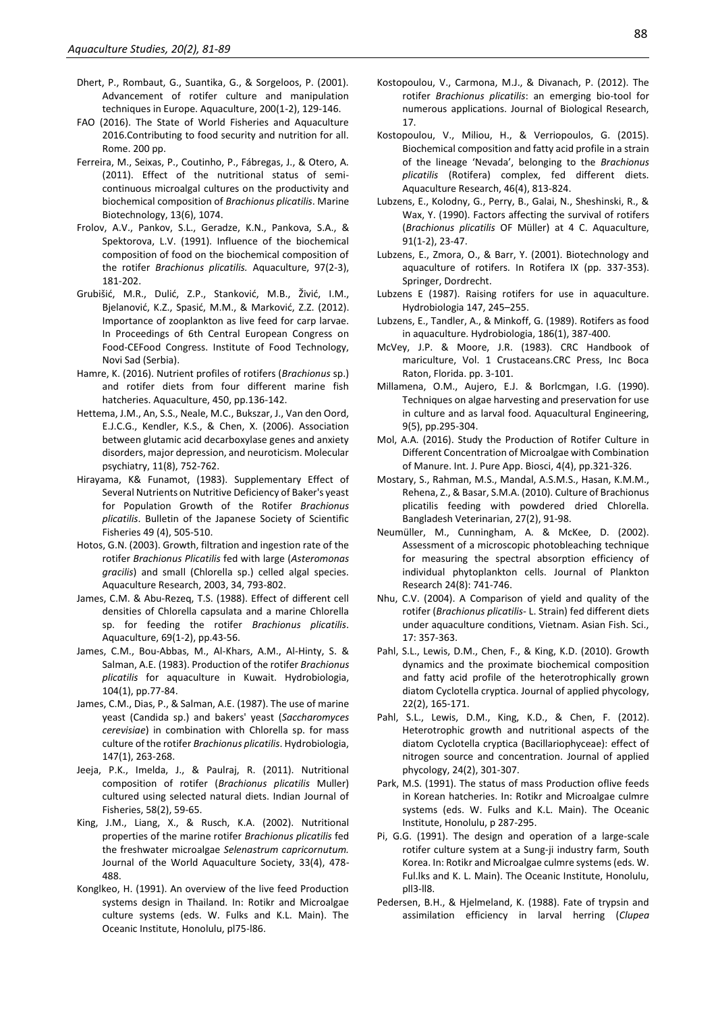- Dhert, P., Rombaut, G., Suantika, G., & Sorgeloos, P. (2001). Advancement of rotifer culture and manipulation techniques in Europe. Aquaculture, 200(1-2), 129-146.
- FAO (2016). The State of World Fisheries and Aquaculture 2016.Contributing to food security and nutrition for all. Rome. 200 pp.
- Ferreira, M., Seixas, P., Coutinho, P., Fábregas, J., & Otero, A. (2011). Effect of the nutritional status of semicontinuous microalgal cultures on the productivity and biochemical composition of *Brachionus plicatilis*. Marine Biotechnology, 13(6), 1074.
- Frolov, A.V., Pankov, S.L., Geradze, K.N., Pankova, S.A., & Spektorova, L.V. (1991). Influence of the biochemical composition of food on the biochemical composition of the rotifer *Brachionus plicatilis.* Aquaculture, 97(2-3), 181-202.
- Grubišić, M.R., Dulić, Z.P., Stanković, M.B., Živić, I.M., Bjelanović, K.Z., Spasić, M.M., & Marković, Z.Z. (2012). Importance of zooplankton as live feed for carp larvae. In Proceedings of 6th Central European Congress on Food-CEFood Congress. Institute of Food Technology, Novi Sad (Serbia).
- Hamre, K. (2016). Nutrient profiles of rotifers (*Brachionus* sp.) and rotifer diets from four different marine fish hatcheries. Aquaculture, 450, pp.136-142.
- Hettema, J.M., An, S.S., Neale, M.C., Bukszar, J., Van den Oord, E.J.C.G., Kendler, K.S., & Chen, X. (2006). Association between glutamic acid decarboxylase genes and anxiety disorders, major depression, and neuroticism. Molecular psychiatry, 11(8), 752-762.
- Hirayama, K& Funamot, (1983). Supplementary Effect of Several Nutrients on Nutritive Deficiency of Baker's yeast for Population Growth of the Rotifer *Brachionus plicatilis*. Bulletin of the Japanese Society of Scientific Fisheries 49 (4), 505-510.
- Hotos, G.N. (2003). Growth, filtration and ingestion rate of the rotifer *Brachionus Plicatilis* fed with large (*Asteromonas gracilis*) and small (Chlorella sp.) celled algal species. Aquaculture Research, 2003, 34, 793-802.
- James, C.M. & Abu-Rezeq, T.S. (1988). Effect of different cell densities of Chlorella capsulata and a marine Chlorella sp. for feeding the rotifer *Brachionus plicatilis*. Aquaculture, 69(1-2), pp.43-56.
- James, C.M., Bou-Abbas, M., Al-Khars, A.M., Al-Hinty, S. & Salman, A.E. (1983). Production of the rotifer *Brachionus plicatilis* for aquaculture in Kuwait. Hydrobiologia, 104(1), pp.77-84.
- James, C.M., Dias, P., & Salman, A.E. (1987). The use of marine yeast (Candida sp.) and bakers' yeast (*Saccharomyces cerevisiae*) in combination with Chlorella sp. for mass culture of the rotifer *Brachionus plicatilis*. Hydrobiologia, 147(1), 263-268.
- Jeeja, P.K., Imelda, J., & Paulraj, R. (2011). Nutritional composition of rotifer (*Brachionus plicatilis* Muller) cultured using selected natural diets. Indian Journal of Fisheries, 58(2), 59-65.
- King, J.M., Liang, X., & Rusch, K.A. (2002). Nutritional properties of the marine rotifer *Brachionus plicatilis* fed the freshwater microalgae *Selenastrum capricornutum.* Journal of the World Aquaculture Society, 33(4), 478- 488.
- Konglkeo, H. (1991). An overview of the live feed Production systems design in Thailand. In: Rotikr and Microalgae culture systems (eds. W. Fulks and K.L. Main). The Oceanic Institute, Honolulu, pl75-l86.
- Kostopoulou, V., Carmona, M.J., & Divanach, P. (2012). The rotifer *Brachionus plicatilis*: an emerging bio-tool for numerous applications. Journal of Biological Research, 17.
- Kostopoulou, V., Miliou, H., & Verriopoulos, G. (2015). Biochemical composition and fatty acid profile in a strain of the lineage 'Nevada', belonging to the *Brachionus plicatilis* (Rotifera) complex, fed different diets. Aquaculture Research, 46(4), 813-824.
- Lubzens, E., Kolodny, G., Perry, B., Galai, N., Sheshinski, R., & Wax, Y. (1990). Factors affecting the survival of rotifers (*Brachionus plicatilis* OF Müller) at 4 C. Aquaculture, 91(1-2), 23-47.
- Lubzens, E., Zmora, O., & Barr, Y. (2001). Biotechnology and aquaculture of rotifers. In Rotifera IX (pp. 337-353). Springer, Dordrecht.
- Lubzens E (1987). Raising rotifers for use in aquaculture. Hydrobiologia 147, 245–255.
- Lubzens, E., Tandler, A., & Minkoff, G. (1989). Rotifers as food in aquaculture. Hydrobiologia, 186(1), 387-400.
- McVey, J.P. & Moore, J.R. (1983). CRC Handbook of mariculture, Vol. 1 Crustaceans.CRC Press, Inc Boca Raton, Florida. pp. 3-101.
- Millamena, O.M., Aujero, E.J. & Borlcmgan, I.G. (1990). Techniques on algae harvesting and preservation for use in culture and as larval food. Aquacultural Engineering, 9(5), pp.295-304.
- Mol, A.A. (2016). Study the Production of Rotifer Culture in Different Concentration of Microalgae with Combination of Manure. Int. J. Pure App. Biosci, 4(4), pp.321-326.
- Mostary, S., Rahman, M.S., Mandal, A.S.M.S., Hasan, K.M.M., Rehena, Z., & Basar, S.M.A. (2010). Culture of Brachionus plicatilis feeding with powdered dried Chlorella. Bangladesh Veterinarian, 27(2), 91-98.
- Neumüller, M., Cunningham, A. & McKee, D. (2002). Assessment of a microscopic photobleaching technique for measuring the spectral absorption efficiency of individual phytoplankton cells. Journal of Plankton Research 24(8): 741-746.
- Nhu, C.V. (2004). A Comparison of yield and quality of the rotifer (*Brachionus plicatilis*- L. Strain) fed different diets under aquaculture conditions, Vietnam. Asian Fish. Sci., 17: 357-363.
- Pahl, S.L., Lewis, D.M., Chen, F., & King, K.D. (2010). Growth dynamics and the proximate biochemical composition and fatty acid profile of the heterotrophically grown diatom Cyclotella cryptica. Journal of applied phycology, 22(2), 165-171.
- Pahl, S.L., Lewis, D.M., King, K.D., & Chen, F. (2012). Heterotrophic growth and nutritional aspects of the diatom Cyclotella cryptica (Bacillariophyceae): effect of nitrogen source and concentration. Journal of applied phycology, 24(2), 301-307.
- Park, M.S. (1991). The status of mass Production oflive feeds in Korean hatcheries. In: Rotikr and Microalgae culmre systems (eds. W. Fulks and K.L. Main). The Oceanic Institute, Honolulu, p 287-295.
- Pi, G.G. (1991). The design and operation of a large-scale rotifer culture system at a Sung-ji industry farm, South Korea. In: Rotikr and Microalgae culmre systems (eds. W. Ful.lks and K. L. Main). The Oceanic Institute, Honolulu, pll3-ll8.
- Pedersen, B.H., & Hjelmeland, K. (1988). Fate of trypsin and assimilation efficiency in larval herring (*Clupea*